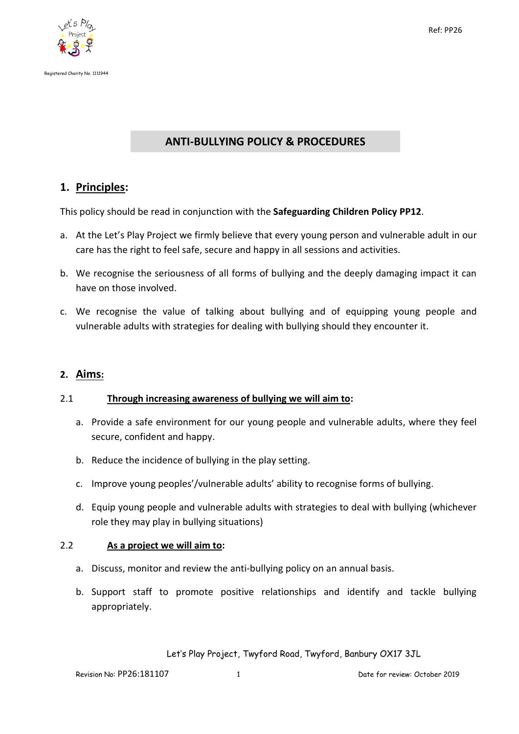

# **ANTI-BULLYING POLICY & PROCEDURES**

# **1. Principles:**

This policy should be read in conjunction with the **Safeguarding Children Policy PP12**.

- a. At the Let's Play Project we firmly believe that every young person and vulnerable adult in our care has the right to feel safe, secure and happy in all sessions and activities.
- b. We recognise the seriousness of all forms of bullying and the deeply damaging impact it can have on those involved.
- c. We recognise the value of talking about bullying and of equipping young people and vulnerable adults with strategies for dealing with bullying should they encounter it.

## **2. Aims:**

#### 2.1 **Through increasing awareness of bullying we will aim to:**

- a. Provide a safe environment for our young people and vulnerable adults, where they feel secure, confident and happy.
- b. Reduce the incidence of bullying in the play setting.
- c. Improve young peoples'/vulnerable adults' ability to recognise forms of bullying.
- d. Equip young people and vulnerable adults with strategies to deal with bullying (whichever role they may play in bullying situations)

#### 2.2 **As a project we will aim to:**

- a. Discuss, monitor and review the anti-bullying policy on an annual basis.
- b. Support staff to promote positive relationships and identify and tackle bullying appropriately.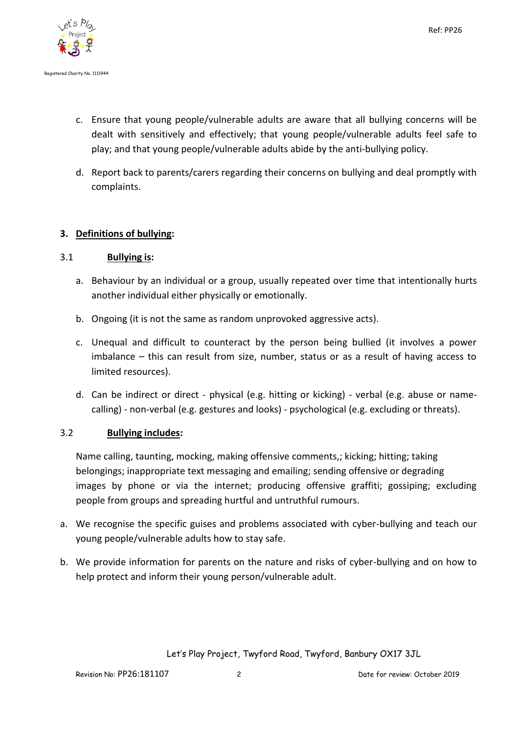

- c. Ensure that young people/vulnerable adults are aware that all bullying concerns will be dealt with sensitively and effectively; that young people/vulnerable adults feel safe to play; and that young people/vulnerable adults abide by the anti-bullying policy.
- d. Report back to parents/carers regarding their concerns on bullying and deal promptly with complaints.

# **3. Definitions of bullying:**

## 3.1 **Bullying is:**

- a. Behaviour by an individual or a group, usually repeated over time that intentionally hurts another individual either physically or emotionally.
- b. Ongoing (it is not the same as random unprovoked aggressive acts).
- c. Unequal and difficult to counteract by the person being bullied (it involves a power imbalance – this can result from size, number, status or as a result of having access to limited resources).
- d. Can be indirect or direct physical (e.g. hitting or kicking) verbal (e.g. abuse or namecalling) - non-verbal (e.g. gestures and looks) - psychological (e.g. excluding or threats).

## 3.2 **Bullying includes:**

Name calling, taunting, mocking, making offensive comments,; kicking; hitting; taking belongings; inappropriate text messaging and emailing; sending offensive or degrading images by phone or via the internet; producing offensive graffiti; gossiping; excluding people from groups and spreading hurtful and untruthful rumours.

- a. We recognise the specific guises and problems associated with cyber-bullying and teach our young people/vulnerable adults how to stay safe.
- b. We provide information for parents on the nature and risks of cyber-bullying and on how to help protect and inform their young person/vulnerable adult.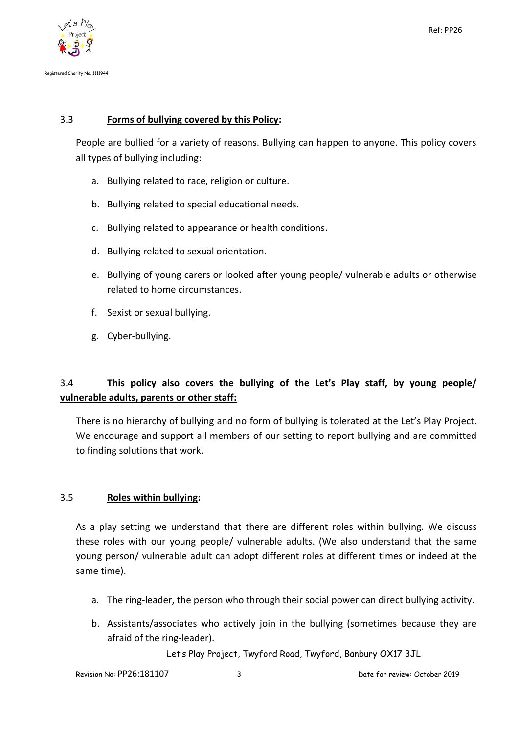

## 3.3 **Forms of bullying covered by this Policy:**

People are bullied for a variety of reasons. Bullying can happen to anyone. This policy covers all types of bullying including:

- a. Bullying related to race, religion or culture.
- b. Bullying related to special educational needs.
- c. Bullying related to appearance or health conditions.
- d. Bullying related to sexual orientation.
- e. Bullying of young carers or looked after young people/ vulnerable adults or otherwise related to home circumstances.
- f. Sexist or sexual bullying.
- g. Cyber-bullying.

# 3.4 **This policy also covers the bullying of the Let's Play staff, by young people/ vulnerable adults, parents or other staff:**

There is no hierarchy of bullying and no form of bullying is tolerated at the Let's Play Project. We encourage and support all members of our setting to report bullying and are committed to finding solutions that work.

## 3.5 **Roles within bullying:**

As a play setting we understand that there are different roles within bullying. We discuss these roles with our young people/ vulnerable adults. (We also understand that the same young person/ vulnerable adult can adopt different roles at different times or indeed at the same time).

- a. The ring-leader, the person who through their social power can direct bullying activity.
- b. Assistants/associates who actively join in the bullying (sometimes because they are afraid of the ring-leader).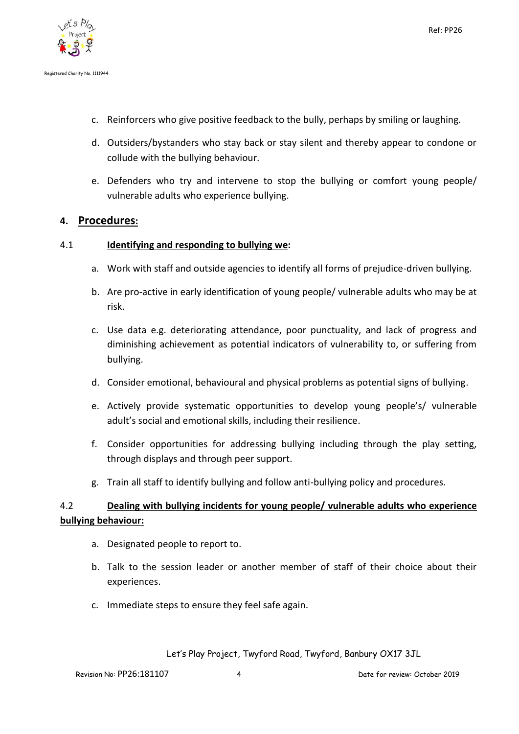

- c. Reinforcers who give positive feedback to the bully, perhaps by smiling or laughing.
- d. Outsiders/bystanders who stay back or stay silent and thereby appear to condone or collude with the bullying behaviour.
- e. Defenders who try and intervene to stop the bullying or comfort young people/ vulnerable adults who experience bullying.

## **4. Procedures:**

### 4.1 **Identifying and responding to bullying we:**

- a. Work with staff and outside agencies to identify all forms of prejudice-driven bullying.
- b. Are pro-active in early identification of young people/ vulnerable adults who may be at risk.
- c. Use data e.g. deteriorating attendance, poor punctuality, and lack of progress and diminishing achievement as potential indicators of vulnerability to, or suffering from bullying.
- d. Consider emotional, behavioural and physical problems as potential signs of bullying.
- e. Actively provide systematic opportunities to develop young people's/ vulnerable adult's social and emotional skills, including their resilience.
- f. Consider opportunities for addressing bullying including through the play setting, through displays and through peer support.
- g. Train all staff to identify bullying and follow anti-bullying policy and procedures.

# 4.2 **Dealing with bullying incidents for young people/ vulnerable adults who experience bullying behaviour:**

- a. Designated people to report to.
- b. Talk to the session leader or another member of staff of their choice about their experiences.
- c. Immediate steps to ensure they feel safe again.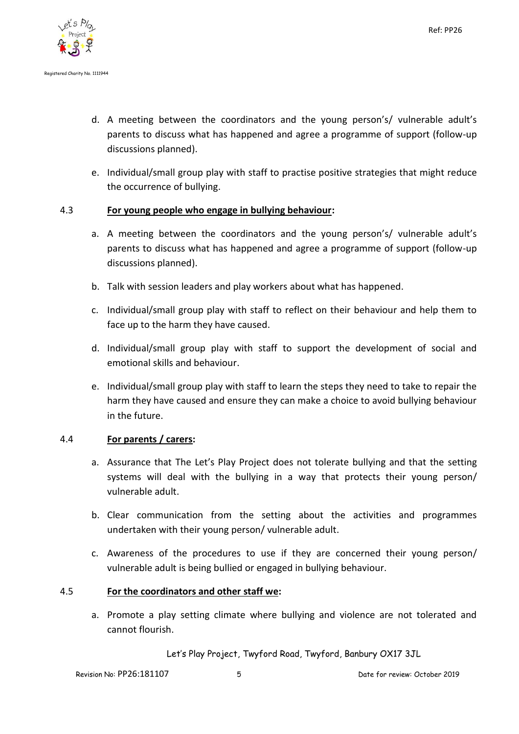

- d. A meeting between the coordinators and the young person's/ vulnerable adult's parents to discuss what has happened and agree a programme of support (follow-up discussions planned).
- e. Individual/small group play with staff to practise positive strategies that might reduce the occurrence of bullying.

### 4.3 **For young people who engage in bullying behaviour:**

- a. A meeting between the coordinators and the young person's/ vulnerable adult's parents to discuss what has happened and agree a programme of support (follow-up discussions planned).
- b. Talk with session leaders and play workers about what has happened.
- c. Individual/small group play with staff to reflect on their behaviour and help them to face up to the harm they have caused.
- d. Individual/small group play with staff to support the development of social and emotional skills and behaviour.
- e. Individual/small group play with staff to learn the steps they need to take to repair the harm they have caused and ensure they can make a choice to avoid bullying behaviour in the future.

#### 4.4 **For parents / carers:**

- a. Assurance that The Let's Play Project does not tolerate bullying and that the setting systems will deal with the bullying in a way that protects their young person/ vulnerable adult.
- b. Clear communication from the setting about the activities and programmes undertaken with their young person/ vulnerable adult.
- c. Awareness of the procedures to use if they are concerned their young person/ vulnerable adult is being bullied or engaged in bullying behaviour.

#### 4.5 **For the coordinators and other staff we:**

a. Promote a play setting climate where bullying and violence are not tolerated and cannot flourish.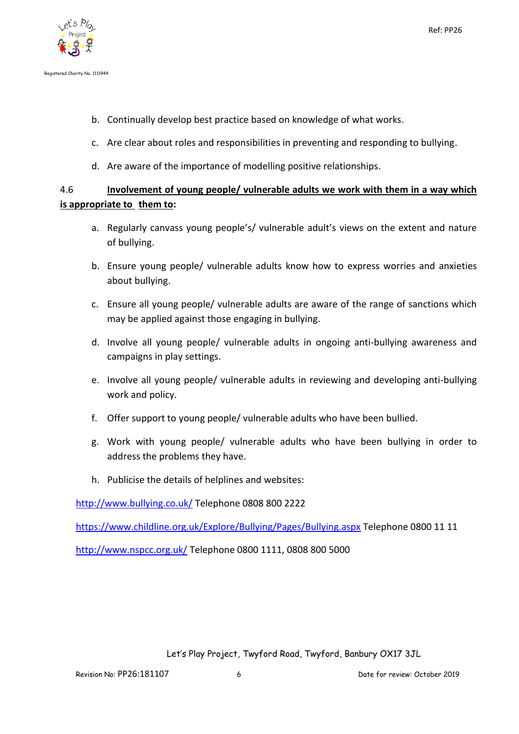

- b. Continually develop best practice based on knowledge of what works.
- c. Are clear about roles and responsibilities in preventing and responding to bullying.
- d. Are aware of the importance of modelling positive relationships.

# 4.6 **Involvement of young people/ vulnerable adults we work with them in a way which is appropriate to them to:**

- a. Regularly canvass young people's/ vulnerable adult's views on the extent and nature of bullying.
- b. Ensure young people/ vulnerable adults know how to express worries and anxieties about bullying.
- c. Ensure all young people/ vulnerable adults are aware of the range of sanctions which may be applied against those engaging in bullying.
- d. Involve all young people/ vulnerable adults in ongoing anti-bullying awareness and campaigns in play settings.
- e. Involve all young people/ vulnerable adults in reviewing and developing anti-bullying work and policy.
- f. Offer support to young people/ vulnerable adults who have been bullied.
- g. Work with young people/ vulnerable adults who have been bullying in order to address the problems they have.
- h. Publicise the details of helplines and websites:

<http://www.bullying.co.uk/> Telephone 0808 800 2222

<https://www.childline.org.uk/Explore/Bullying/Pages/Bullying.aspx> Telephone 0800 11 11

<http://www.nspcc.org.uk/> Telephone 0800 1111, 0808 800 5000